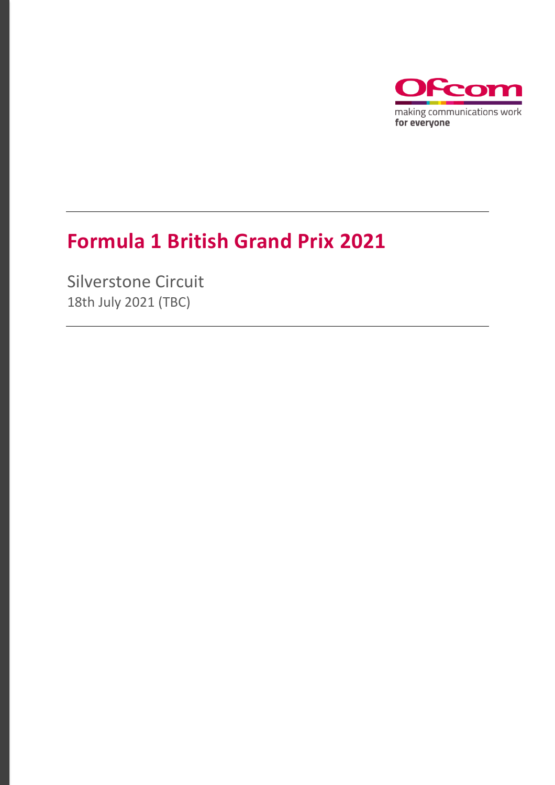

### **Formula 1 British Grand Prix 2021**

Silverstone Circuit 18th July 2021 (TBC)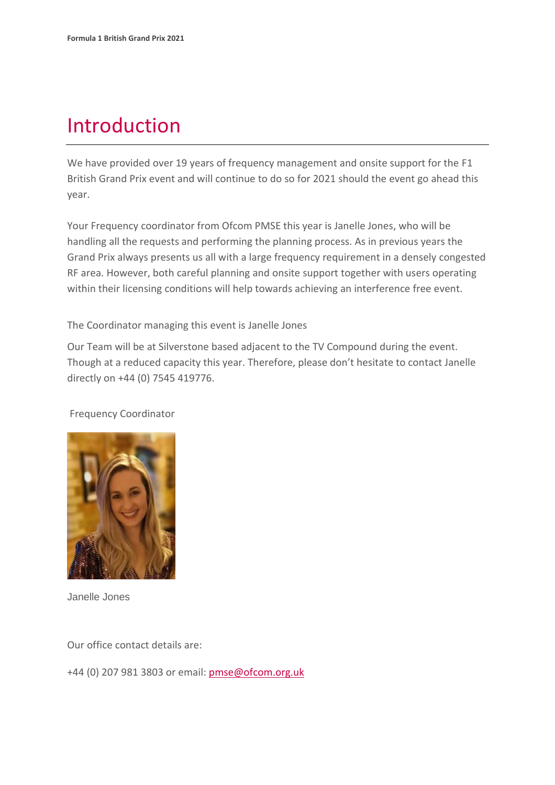### Introduction

We have provided over 19 years of frequency management and onsite support for the F1 British Grand Prix event and will continue to do so for 2021 should the event go ahead this year.

Your Frequency coordinator from Ofcom PMSE this year is Janelle Jones, who will be handling all the requests and performing the planning process. As in previous years the Grand Prix always presents us all with a large frequency requirement in a densely congested RF area. However, both careful planning and onsite support together with users operating within their licensing conditions will help towards achieving an interference free event.

The Coordinator managing this event is Janelle Jones

Our Team will be at Silverstone based adjacent to the TV Compound during the event. Though at a reduced capacity this year. Therefore, please don't hesitate to contact Janelle directly on +44 (0) 7545 419776.

#### Frequency Coordinator



Janelle Jones

Our office contact details are:

+44 (0) 207 981 3803 or email: [pmse@ofcom.org.uk](mailto:pmse@ofcom.org.uk)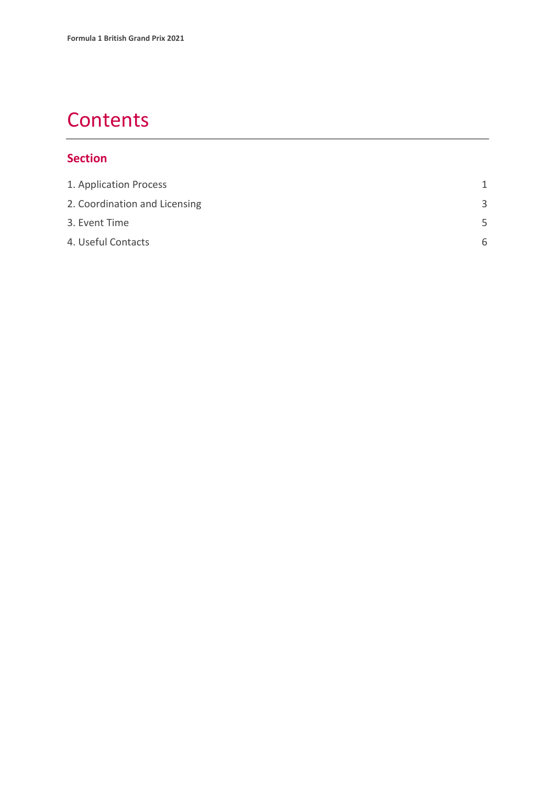### **Contents**

#### **Section**

| 1. Application Process        |   |
|-------------------------------|---|
| 2. Coordination and Licensing | 3 |
| 3. Event Time                 | 5 |
| 4. Useful Contacts            | 6 |
|                               |   |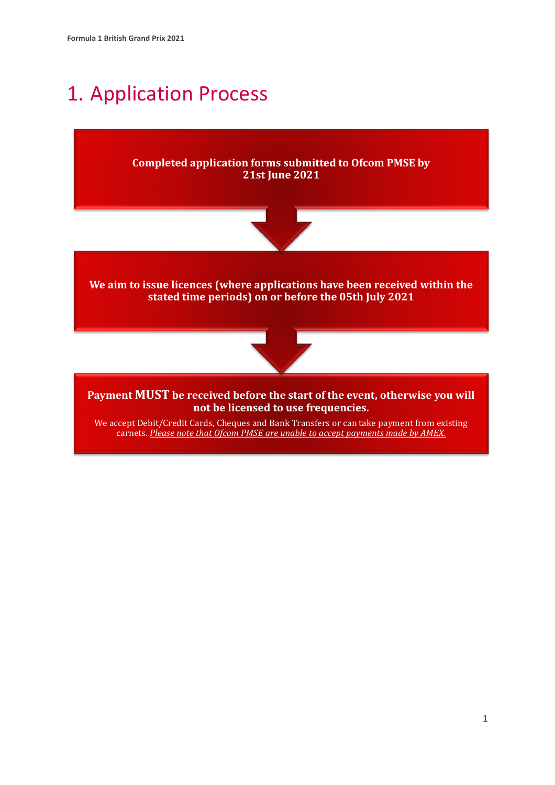### <span id="page-3-0"></span>1. Application Process

**Completed application forms submitted to Ofcom PMSE by 21st June 2021**



**We aim to issue licences (where applications have been received within the stated time periods) on or before the 05th July 2021**



**Payment MUST be received before the start of the event, otherwise you will not be licensed to use frequencies.**

We accept Debit/Credit Cards, Cheques and Bank Transfers or can take payment from existing carnets. *Please note that Ofcom PMSE are unable to accept payments made by AMEX.*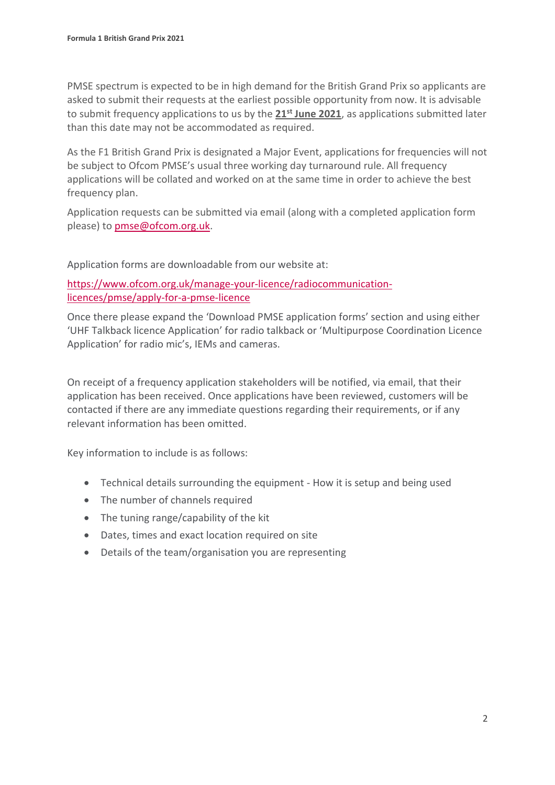PMSE spectrum is expected to be in high demand for the British Grand Prix so applicants are asked to submit their requests at the earliest possible opportunity from now. It is advisable to submit frequency applications to us by the **21st June 2021**, as applications submitted later than this date may not be accommodated as required.

As the F1 British Grand Prix is designated a Major Event, applications for frequencies will not be subject to Ofcom PMSE's usual three working day turnaround rule. All frequency applications will be collated and worked on at the same time in order to achieve the best frequency plan.

Application requests can be submitted via email (along with a completed application form please) to [pmse@ofcom.org.uk.](mailto:pmse@ofcom.org.uk)

Application forms are downloadable from our website at:

[https://www.ofcom.org.uk/manage-your-licence/radiocommunication](https://www.ofcom.org.uk/manage-your-licence/radiocommunication-licences/pmse/apply-for-a-pmse-licence)[licences/pmse/apply-for-a-pmse-licence](https://www.ofcom.org.uk/manage-your-licence/radiocommunication-licences/pmse/apply-for-a-pmse-licence)

Once there please expand the 'Download PMSE application forms' section and using either 'UHF Talkback licence Application' for radio talkback or 'Multipurpose Coordination Licence Application' for radio mic's, IEMs and cameras.

On receipt of a frequency application stakeholders will be notified, via email, that their application has been received. Once applications have been reviewed, customers will be contacted if there are any immediate questions regarding their requirements, or if any relevant information has been omitted.

Key information to include is as follows:

- Technical details surrounding the equipment How it is setup and being used
- The number of channels required
- The tuning range/capability of the kit
- Dates, times and exact location required on site
- Details of the team/organisation you are representing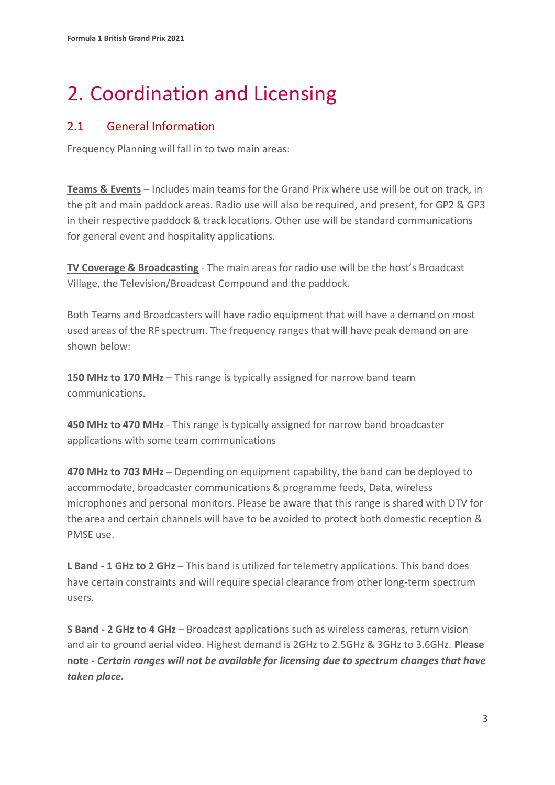# <span id="page-5-0"></span>2. Coordination and Licensing

#### 2.1 General Information

Frequency Planning will fall in to two main areas:

**Teams & Events** – Includes main teams for the Grand Prix where use will be out on track, in the pit and main paddock areas. Radio use will also be required, and present, for GP2 & GP3 in their respective paddock & track locations. Other use will be standard communications for general event and hospitality applications.

**TV Coverage & Broadcasting** - The main areas for radio use will be the host's Broadcast Village, the Television/Broadcast Compound and the paddock.

Both Teams and Broadcasters will have radio equipment that will have a demand on most used areas of the RF spectrum. The frequency ranges that will have peak demand on are shown below:

**150 MHz to 170 MHz** – This range is typically assigned for narrow band team communications.

**450 MHz to 470 MHz** - This range is typically assigned for narrow band broadcaster applications with some team communications

**470 MHz to 703 MHz** – Depending on equipment capability, the band can be deployed to accommodate, broadcaster communications & programme feeds, Data, wireless microphones and personal monitors. Please be aware that this range is shared with DTV for the area and certain channels will have to be avoided to protect both domestic reception & PMSE use.

**L Band - 1 GHz to 2 GHz** – This band is utilized for telemetry applications. This band does have certain constraints and will require special clearance from other long-term spectrum users.

**S Band - 2 GHz to 4 GHz** – Broadcast applications such as wireless cameras, return vision and air to ground aerial video. Highest demand is 2GHz to 2.5GHz & 3GHz to 3.6GHz. **Please note -** *Certain ranges will not be available for licensing due to spectrum changes that have taken place.*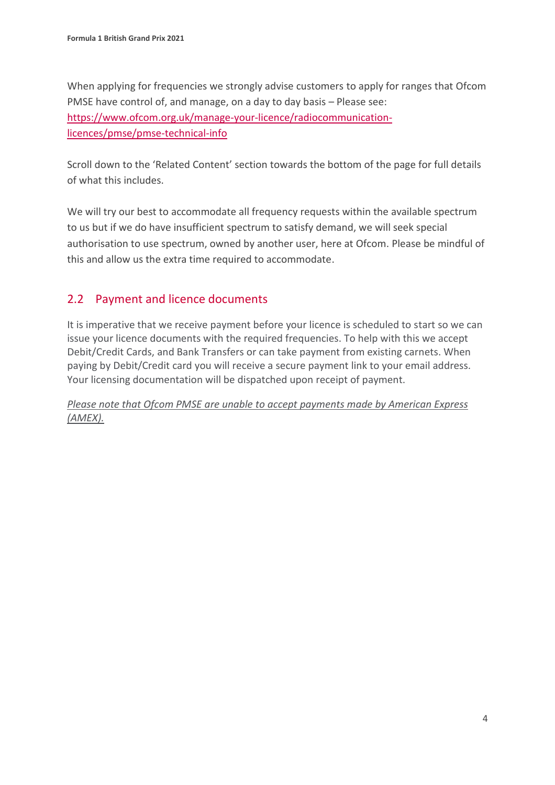When applying for frequencies we strongly advise customers to apply for ranges that Ofcom PMSE have control of, and manage, on a day to day basis – Please see: [https://www.ofcom.org.uk/manage-your-licence/radiocommunication](https://www.ofcom.org.uk/manage-your-licence/radiocommunication-licences/pmse/pmse-technical-info)[licences/pmse/pmse-technical-info](https://www.ofcom.org.uk/manage-your-licence/radiocommunication-licences/pmse/pmse-technical-info)

Scroll down to the 'Related Content' section towards the bottom of the page for full details of what this includes.

We will try our best to accommodate all frequency requests within the available spectrum to us but if we do have insufficient spectrum to satisfy demand, we will seek special authorisation to use spectrum, owned by another user, here at Ofcom. Please be mindful of this and allow us the extra time required to accommodate.

#### 2.2 Payment and licence documents

It is imperative that we receive payment before your licence is scheduled to start so we can issue your licence documents with the required frequencies. To help with this we accept Debit/Credit Cards, and Bank Transfers or can take payment from existing carnets. When paying by Debit/Credit card you will receive a secure payment link to your email address. Your licensing documentation will be dispatched upon receipt of payment.

*Please note that Ofcom PMSE are unable to accept payments made by American Express (AMEX).*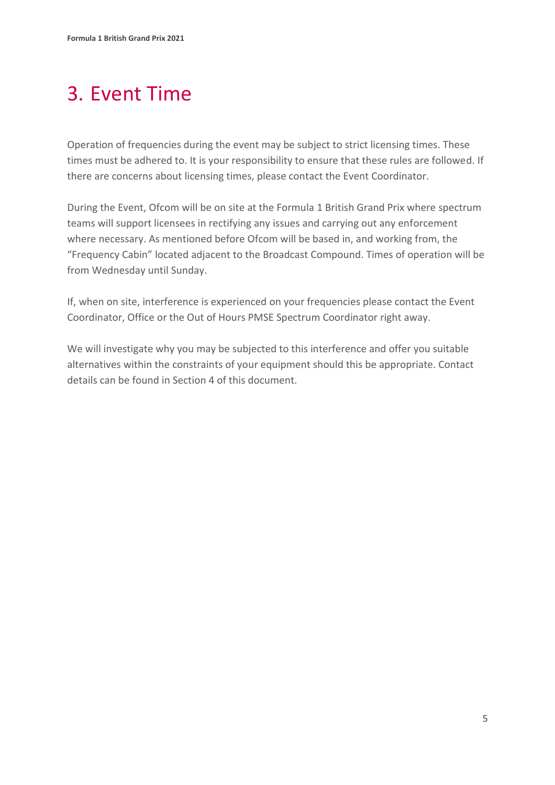## <span id="page-7-0"></span>3. Event Time

Operation of frequencies during the event may be subject to strict licensing times. These times must be adhered to. It is your responsibility to ensure that these rules are followed. If there are concerns about licensing times, please contact the Event Coordinator.

During the Event, Ofcom will be on site at the Formula 1 British Grand Prix where spectrum teams will support licensees in rectifying any issues and carrying out any enforcement where necessary. As mentioned before Ofcom will be based in, and working from, the "Frequency Cabin" located adjacent to the Broadcast Compound. Times of operation will be from Wednesday until Sunday.

If, when on site, interference is experienced on your frequencies please contact the Event Coordinator, Office or the Out of Hours PMSE Spectrum Coordinator right away.

We will investigate why you may be subjected to this interference and offer you suitable alternatives within the constraints of your equipment should this be appropriate. Contact details can be found in Section 4 of this document.